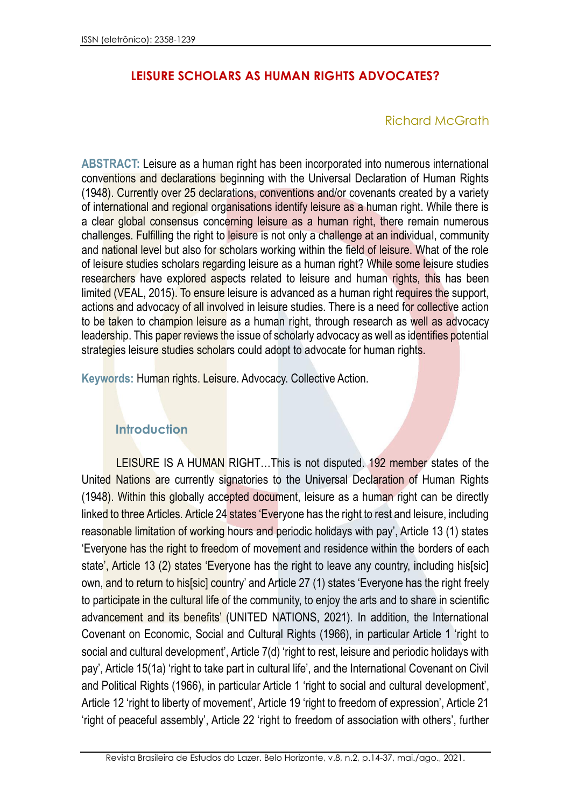# **LEISURE SCHOLARS AS HUMAN RIGHTS ADVOCATES?**

## Richard McGrath

**ABSTRACT:** Leisure as a human right has been incorporated into numerous international conventions and declarations beginning with the Universal Declaration of Human Rights (1948). Currently over 25 declarations, conventions and/or covenants created by a variety of international and regional organisations identify leisure as a human right. While there is a clear global consensus concerning leisure as a human right, there remain numerous challenges. Fulfilling the right to leisure is not only a challenge at an individual, community and national level but also for scholars working within the field of leisure. What of the role of leisure studies scholars regarding leisure as a human right? While some leisure studies researchers have explored aspects related to leisure and human rights, this has been limited (VEAL, 2015). To ensure leisure is advanced as a human right requires the support, actions and advocacy of all involved in leisure studies. There is a need for collective action to be taken to champion leisure as a human right, through research as well as advocacy leadership. This paper reviews the issue of scholarly advocacy as well as identifies potential strategies leisure studies scholars could adopt to advocate for human rights.

**Keywords:** Human rights. Leisure. Advocacy. Collective Action.

## **Introduction**

LEISURE IS A HUMAN RIGHT…This is not disputed. 192 member states of the United Nations are currently signatories to the Universal Declaration of Human Rights (1948). Within this globally accepted document, leisure as a human right can be directly linked to three Articles. Article 24 states 'Everyone has the right to rest and leisure, including reasonable limitation of working hours and periodic holidays with pay', Article 13 (1) states 'Everyone has the right to freedom of movement and residence within the borders of each state', Article 13 (2) states 'Everyone has the right to leave any country, including his[sic] own, and to return to his[sic] country' and Article 27 (1) states 'Everyone has the right freely to participate in the cultural life of the community, to enjoy the arts and to share in scientific advancement and its benefits' (UNITED NATIONS, 2021). In addition, the International Covenant on Economic, Social and Cultural Rights (1966), in particular Article 1 'right to social and cultural development', Article 7(d) 'right to rest, leisure and periodic holidays with pay', Article 15(1a) 'right to take part in cultural life', and the International Covenant on Civil and Political Rights (1966), in particular Article 1 'right to social and cultural development', Article 12 'right to liberty of movement', Article 19 'right to freedom of expression', Article 21 'right of peaceful assembly', Article 22 'right to freedom of association with others', further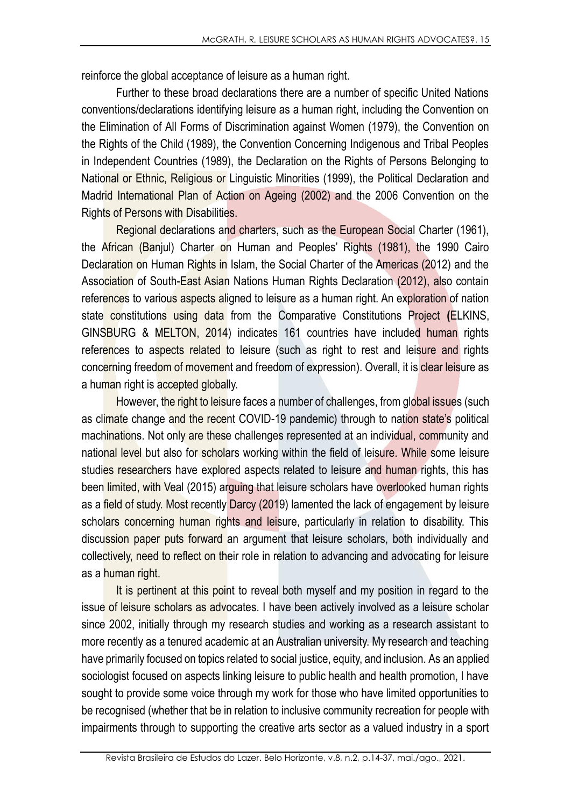reinforce the global acceptance of leisure as a human right.

Further to these broad declarations there are a number of specific United Nations conventions/declarations identifying leisure as a human right, including the Convention on the Elimination of All Forms of Discrimination against Women (1979), the Convention on the Rights of the Child (1989), the Convention Concerning Indigenous and Tribal Peoples in Independent Countries (1989), the Declaration on the Rights of Persons Belonging to National or Ethnic, Religious or Linguistic Minorities (1999), the Political Declaration and Madrid International Plan of Action on Ageing (2002) and the 2006 Convention on the Rights of Persons with Disabilities.

Regional declarations and charters, such as the European Social Charter (1961), the African (Banjul) Charter on Human and Peoples' Rights (1981), the 1990 Cairo Declaration on Human Rights in Islam, the Social Charter of the Americas (2012) and the Association of South-East Asian Nations Human Rights Declaration (2012), also contain references to various aspects aligned to leisure as a human right. An exploration of nation state constitutions using data from the Comparative Constitutions Project **(**ELKINS, GINSBURG & MELTON, 2014) indicates 161 countries have included human rights references to aspects related to leisure (such as right to rest and leisure and rights concerning freedom of movement and freedom of expression). Overall, it is clear leisure as a human right is accepted globally.

However, the right to leisure faces a number of challenges, from global issues (such as climate change and the recent COVID-19 pandemic) through to nation state's political machinations. Not only are these challenges represented at an individual, community and national level but also for scholars working within the field of leisure. While some leisure studies researchers have explored aspects related to leisure and human rights, this has been limited, with Veal (2015) arguing that leisure scholars have overlooked human rights as a field of study. Most recently Darcy (2019) lamented the lack of engagement by leisure scholars concerning human rights and leisure, particularly in relation to disability. This discussion paper puts forward an argument that leisure scholars, both individually and collectively, need to reflect on their role in relation to advancing and advocating for leisure as a human right.

It is pertinent at this point to reveal both myself and my position in regard to the issue of leisure scholars as advocates. I have been actively involved as a leisure scholar since 2002, initially through my research studies and working as a research assistant to more recently as a tenured academic at an Australian university. My research and teaching have primarily focused on topics related to social justice, equity, and inclusion. As an applied sociologist focused on aspects linking leisure to public health and health promotion, I have sought to provide some voice through my work for those who have limited opportunities to be recognised (whether that be in relation to inclusive community recreation for people with impairments through to supporting the creative arts sector as a valued industry in a sport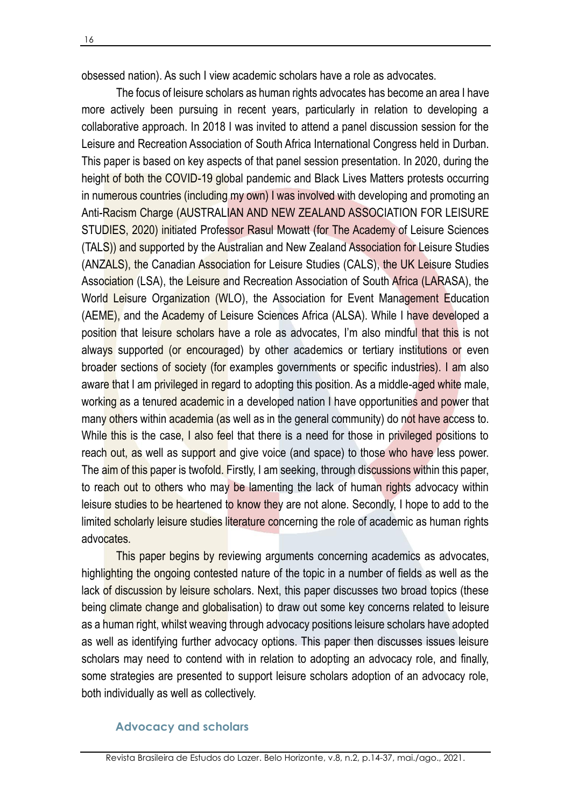obsessed nation). As such I view academic scholars have a role as advocates.

The focus of leisure scholars as human rights advocates has become an area I have more actively been pursuing in recent years, particularly in relation to developing a collaborative approach. In 2018 I was invited to attend a panel discussion session for the Leisure and Recreation Association of South Africa International Congress held in Durban. This paper is based on key aspects of that panel session presentation. In 2020, during the height of both the COVID-19 global pandemic and Black Lives Matters protests occurring in numerous countries (including my own) I was involved with developing and promoting an Anti-Racism Charge (AUSTRALIAN AND NEW ZEALAND ASSOCIATION FOR LEISURE STUDIES, 2020) initiated Professor Rasul Mowatt (for The Academy of Leisure Sciences (TALS)) and supported by the Australian and New Zealand Association for Leisure Studies (ANZALS), the Canadian Association for Leisure Studies (CALS), the UK Leisure Studies Association (LSA), the Leisure and Recreation Association of South Africa (LARASA), the World Leisure Organization (WLO), the Association for Event Management Education (AEME), and the Academy of Leisure Sciences Africa (ALSA). While I have developed a position that leisure scholars have a role as advocates, I'm also mindful that this is not always supported (or encouraged) by other academics or tertiary institutions or even broader sections of society (for examples governments or specific industries). I am also aware that I am privileged in regard to adopting this position. As a middle-aged white male, working as a tenured academic in a developed nation I have opportunities and power that many others within academia (as well as in the general community) do not have access to. While this is the case. I also feel that there is a need for those in privileged positions to reach out, as well as support and give voice (and space) to those who have less power. The aim of this paper is twofold. Firstly, I am seeking, through discussions within this paper, to reach out to others who may be lamenting the lack of human rights advocacy within leisure studies to be heartened to know they are not alone. Secondly, I hope to add to the limited scholarly leisure studies literature concerning the role of academic as human rights advocates.

This paper begins by reviewing arguments concerning academics as advocates, highlighting the ongoing contested nature of the topic in a number of fields as well as the lack of discussion by leisure scholars. Next, this paper discusses two broad topics (these being climate change and globalisation) to draw out some key concerns related to leisure as a human right, whilst weaving through advocacy positions leisure scholars have adopted as well as identifying further advocacy options. This paper then discusses issues leisure scholars may need to contend with in relation to adopting an advocacy role, and finally, some strategies are presented to support leisure scholars adoption of an advocacy role, both individually as well as collectively.

#### **Advocacy and scholars**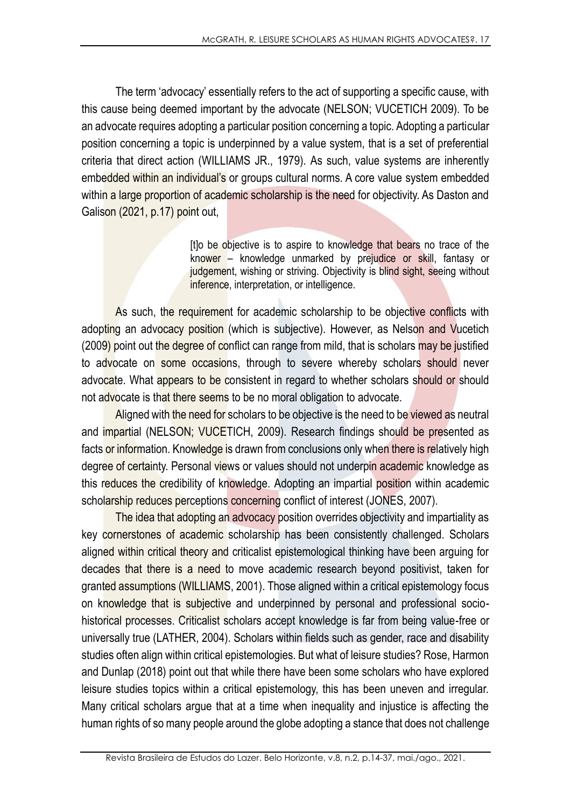The term 'advocacy' essentially refers to the act of supporting a specific cause, with this cause being deemed important by the advocate (NELSON; VUCETICH 2009). To be an advocate requires adopting a particular position concerning a topic. Adopting a particular position concerning a topic is underpinned by a value system, that is a set of preferential criteria that direct action (WILLIAMS JR., 1979). As such, value systems are inherently embedded within an individual's or groups cultural norms. A core value system embedded within a large proportion of academic scholarship is the need for objectivity. As Daston and Galison (2021, p.17) point out,

> [t]o be objective is to aspire to knowledge that bears no trace of the knower – knowledge unmarked by prejudice or skill, fantasy or judgement, wishing or striving. Objectivity is blind sight, seeing without inference, interpretation, or intelligence.

As such, the requirement for academic scholarship to be objective conflicts with adopting an advocacy position (which is subjective). However, as Nelson and Vucetich (2009) point out the degree of conflict can range from mild, that is scholars may be justified to advocate on some occasions, through to severe whereby scholars should never advocate. What appears to be consistent in regard to whether scholars should or should not advocate is that there seems to be no moral obligation to advocate.

Aligned with the need for scholars to be objective is the need to be viewed as neutral and impartial (NELSON; VUCETICH, 2009). Research findings should be presented as facts or information. Knowledge is drawn from conclusions only when there is relatively high degree of certainty. Personal views or values should not underpin academic knowledge as this reduces the credibility of knowledge. Adopting an impartial position within academic scholarship reduces perceptions concerning conflict of interest (JONES, 2007).

The idea that adopting an advocacy position overrides objectivity and impartiality as key cornerstones of academic scholarship has been consistently challenged. Scholars aligned within critical theory and criticalist epistemological thinking have been arguing for decades that there is a need to move academic research beyond positivist, taken for granted assumptions (WILLIAMS, 2001). Those aligned within a critical epistemology focus on knowledge that is subjective and underpinned by personal and professional sociohistorical processes. Criticalist scholars accept knowledge is far from being value-free or universally true (LATHER, 2004). Scholars within fields such as gender, race and disability studies often align within critical epistemologies. But what of leisure studies? Rose, Harmon and Dunlap (2018) point out that while there have been some scholars who have explored leisure studies topics within a critical epistemology, this has been uneven and irregular. Many critical scholars argue that at a time when inequality and injustice is affecting the human rights of so many people around the globe adopting a stance that does not challenge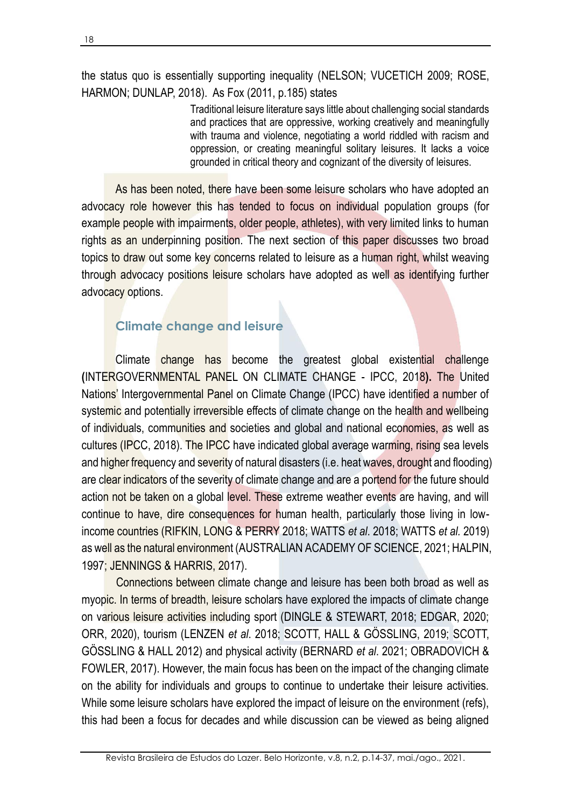the status quo is essentially supporting inequality (NELSON; VUCETICH 2009; ROSE, HARMON; DUNLAP, 2018). As Fox (2011, p.185) states

> Traditional leisure literature says little about challenging social standards and practices that are oppressive, working creatively and meaningfully with trauma and violence, negotiating a world riddled with racism and oppression, or creating meaningful solitary leisures. It lacks a voice grounded in critical theory and cognizant of the diversity of leisures.

As has been noted, there have been some leisure scholars who have adopted an advocacy role however this has tended to focus on individual population groups (for example people with impairments, older people, athletes), with very limited links to human rights as an underpinning position. The next section of this paper discusses two broad topics to draw out some key concerns related to leisure as a human right, whilst weaving through advocacy positions leisure scholars have adopted as well as identifying further advocacy options.

# **Climate change and leisure**

Climate change has become the greatest global existential challenge **(**INTERGOVERNMENTAL PANEL ON CLIMATE CHANGE - IPCC, 2018**).** The United Nations' Intergovernmental Panel on Climate Change (IPCC) have identified a number of systemic and potentially irreversible effects of climate change on the health and wellbeing of individuals, communities and societies and global and national economies, as well as cultures (IPCC, 2018). The IPCC have indicated global average warming, rising sea levels and higher frequency and severity of natural disasters (i.e. heat waves, drought and flooding) are clear indicators of the severity of climate change and are a portend for the future should action not be taken on a global level. These extreme weather events are having, and will continue to have, dire consequences for human health, particularly those living in lowincome countries (RIFKIN, LONG & PERRY 2018; WATTS *et al*. 2018; WATTS *et al.* 2019) as well as the natural environment (AUSTRALIAN ACADEMY OF SCIENCE, 2021; HALPIN, 1997; JENNINGS & HARRIS, 2017).

Connections between climate change and leisure has been both broad as well as myopic. In terms of breadth, leisure scholars have explored the impacts of climate change on various leisure activities including sport (DINGLE & STEWART, 2018; EDGAR, 2020; ORR, 2020), tourism (LENZEN *et al*. 2018; SCOTT, HALL & GÖSSLING, 2019; SCOTT, GÖSSLING & HALL 2012) and physical activity (BERNARD *et al*. 2021; OBRADOVICH & FOWLER, 2017). However, the main focus has been on the impact of the changing climate on the ability for individuals and groups to continue to undertake their leisure activities. While some leisure scholars have explored the impact of leisure on the environment (refs), this had been a focus for decades and while discussion can be viewed as being aligned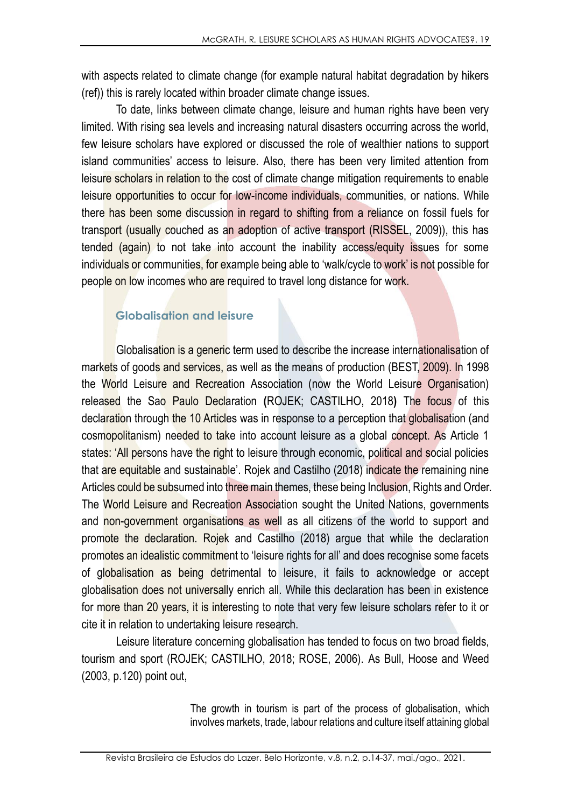with aspects related to climate change (for example natural habitat degradation by hikers (ref)) this is rarely located within broader climate change issues.

To date, links between climate change, leisure and human rights have been very limited. With rising sea levels and increasing natural disasters occurring across the world, few leisure scholars have explored or discussed the role of wealthier nations to support island communities' access to leisure. Also, there has been very limited attention from leisure scholars in relation to the cost of climate change mitigation requirements to enable leisure opportunities to occur for low-income individuals, communities, or nations. While there has been some discussion in regard to shifting from a reliance on fossil fuels for transport (usually couched as an adoption of active transport (RISSEL, 2009)), this has tended (again) to not take into account the inability access/equity issues for some individuals or communities, for example being able to 'walk/cycle to work' is not possible for people on low incomes who are required to travel long distance for work.

# **Globalisation and leisure**

Globalisation is a generic term used to describe the increase internationalisation of markets of goods and services, as well as the means of production (BEST, 2009). In 1998 the World Leisure and Recreation Association (now the World Leisure Organisation) released the Sao Paulo Declaration **(**ROJEK; CASTILHO, 2018**)** The focus of this declaration through the 10 Articles was in response to a perception that globalisation (and cosmopolitanism) needed to take into account leisure as a global concept. As Article 1 states: 'All persons have the right to leisure through economic, political and social policies that are equitable and sustainable'. Rojek and Castilho (2018) indicate the remaining nine Articles could be subsumed into three main themes, these being Inclusion, Rights and Order. The World Leisure and Recreation Association sought the United Nations, governments and non-government organisations as well as all citizens of the world to support and promote the declaration. Rojek and Castilho (2018) argue that while the declaration promotes an idealistic commitment to 'leisure rights for all' and does recognise some facets of globalisation as being detrimental to leisure, it fails to acknowledge or accept globalisation does not universally enrich all. While this declaration has been in existence for more than 20 years, it is interesting to note that very few leisure scholars refer to it or cite it in relation to undertaking leisure research.

Leisure literature concerning globalisation has tended to focus on two broad fields, tourism and sport (ROJEK; CASTILHO, 2018; ROSE, 2006). As Bull, Hoose and Weed (2003, p.120) point out,

> The growth in tourism is part of the process of globalisation, which involves markets, trade, labour relations and culture itself attaining global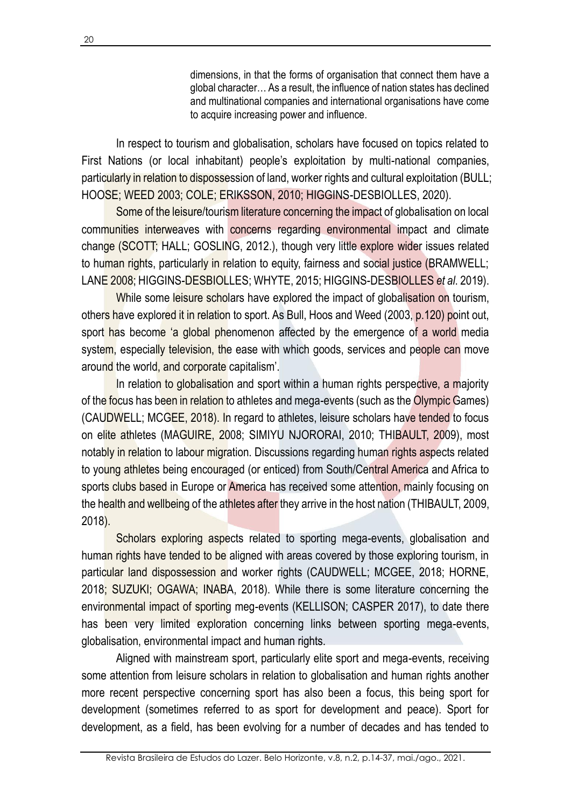dimensions, in that the forms of organisation that connect them have a global character… As a result, the influence of nation states has declined and multinational companies and international organisations have come to acquire increasing power and influence.

In respect to tourism and globalisation, scholars have focused on topics related to First Nations (or local inhabitant) people's exploitation by multi-national companies, particularly in relation to dispossession of land, worker rights and cultural exploitation (BULL; HOOSE; WEED 2003; COLE; ERIKSSON, 2010; HIGGINS-DESBIOLLES, 2020).

Some of the leisure/tourism literature concerning the impact of globalisation on local communities interweaves with concerns regarding environmental impact and climate change (SCOTT; HALL; GOSLING, 2012.), though very little explore wider issues related to human rights, particularly in relation to equity, fairness and social justice (BRAMWELL; LANE 2008; HIGGINS-DESBIOLLES; WHYTE, 2015; HIGGINS-DESBIOLLES *et al*. 2019).

While some leisure scholars have explored the impact of globalisation on tourism, others have explored it in relation to sport. As Bull, Hoos and Weed (2003, p.120) point out, sport has become 'a global phenomenon affected by the emergence of a world media system, especially television, the ease with which goods, services and people can move around the world, and corporate capitalism'.

In relation to globalisation and sport within a human rights perspective, a majority of the focus has been in relation to athletes and mega-events (such as the Olympic Games) (CAUDWELL; MCGEE, 2018). In regard to athletes, leisure scholars have tended to focus on elite athletes (MAGUIRE, 2008; SIMIYU NJORORAI, 2010; THIBAULT, 2009), most notably in relation to labour migration. Discussions regarding human rights aspects related to young athletes being encouraged (or enticed) from South/Central America and Africa to sports clubs based in Europe or America has received some attention, mainly focusing on the health and wellbeing of the athletes after they arrive in the host nation (THIBAULT, 2009, 2018).

Scholars exploring aspects related to sporting mega-events, globalisation and human rights have tended to be aligned with areas covered by those exploring tourism, in particular land dispossession and worker rights (CAUDWELL; MCGEE, 2018; HORNE, 2018; SUZUKI; OGAWA; INABA, 2018). While there is some literature concerning the environmental impact of sporting meg-events (KELLISON; CASPER 2017), to date there has been very limited exploration concerning links between sporting mega-events, globalisation, environmental impact and human rights.

Aligned with mainstream sport, particularly elite sport and mega-events, receiving some attention from leisure scholars in relation to globalisation and human rights another more recent perspective concerning sport has also been a focus, this being sport for development (sometimes referred to as sport for development and peace). Sport for development, as a field, has been evolving for a number of decades and has tended to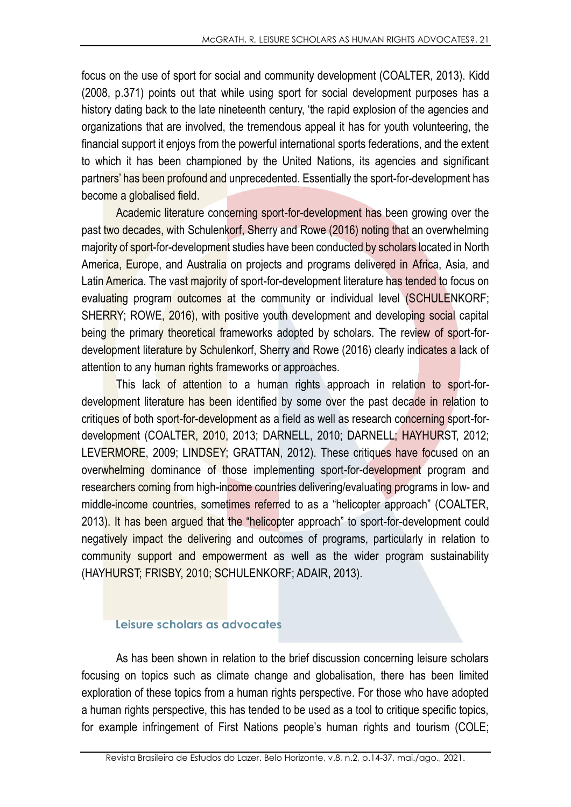focus on the use of sport for social and community development (COALTER, 2013). Kidd (2008, p.371) points out that while using sport for social development purposes has a history dating back to the late nineteenth century, 'the rapid explosion of the agencies and organizations that are involved, the tremendous appeal it has for youth volunteering, the financial support it enjoys from the powerful international sports federations, and the extent to which it has been championed by the United Nations, its agencies and significant partners' has been profound and unprecedented. Essentially the sport-for-development has become a globalised field.

Academic literature concerning sport-for-development has been growing over the past two decades, with Schulenkorf, Sherry and Rowe (2016) noting that an overwhelming majority of sport-for-development studies have been conducted by scholars located in North America, Europe, and Australia on projects and programs delivered in Africa, Asia, and Latin America. The vast majority of sport-for-development literature has tended to focus on evaluating program outcomes at the community or individual level (SCHULENKORF; SHERRY; ROWE, 2016), with positive youth development and developing social capital being the primary theoretical frameworks adopted by scholars. The review of sport-fordevelopment literature by Schulenkorf, Sherry and Rowe (2016) clearly indicates a lack of attention to any human rights frameworks or approaches.

This lack of attention to a human rights approach in relation to sport-fordevelopment literature has been identified by some over the past decade in relation to critiques of both sport-for-development as a field as well as research concerning sport-fordevelopment (COALTER, 2010, 2013; DARNELL, 2010; DARNELL; HAYHURST, 2012; LEVERMORE, 2009; LINDSEY; GRATTAN, 2012). These critiques have focused on an overwhelming dominance of those implementing sport-for-development program and researchers coming from high-income countries delivering/evaluating programs in low- and middle-income countries, sometimes referred to as a "helicopter approach" (COALTER, 2013). It has been argued that the "helicopter approach" to sport-for-development could negatively impact the delivering and outcomes of programs, particularly in relation to community support and empowerment as well as the wider program sustainability (HAYHURST; FRISBY, 2010; SCHULENKORF; ADAIR, 2013).

#### **Leisure scholars as advocates**

As has been shown in relation to the brief discussion concerning leisure scholars focusing on topics such as climate change and globalisation, there has been limited exploration of these topics from a human rights perspective. For those who have adopted a human rights perspective, this has tended to be used as a tool to critique specific topics, for example infringement of First Nations people's human rights and tourism (COLE;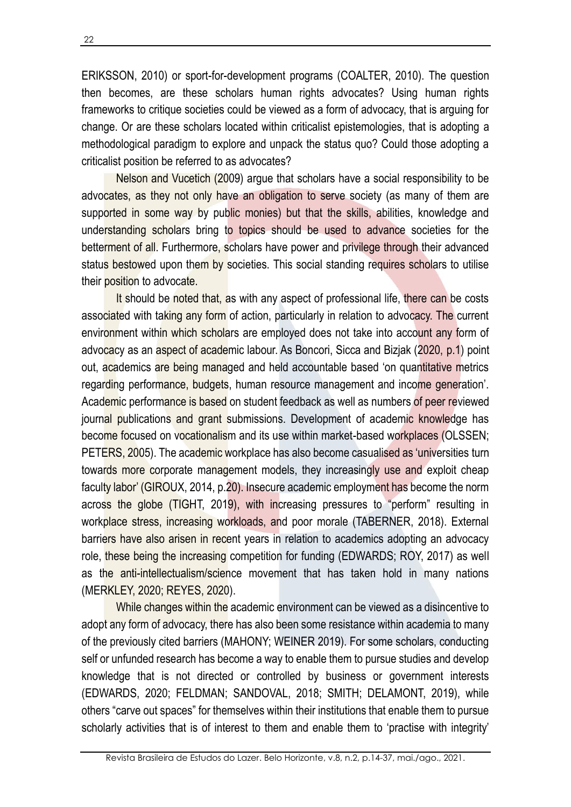ERIKSSON, 2010) or sport-for-development programs (COALTER, 2010). The question then becomes, are these scholars human rights advocates? Using human rights frameworks to critique societies could be viewed as a form of advocacy, that is arguing for change. Or are these scholars located within criticalist epistemologies, that is adopting a methodological paradigm to explore and unpack the status quo? Could those adopting a criticalist position be referred to as advocates?

Nelson and Vucetich (2009) argue that scholars have a social responsibility to be advocates, as they not only have an obligation to serve society (as many of them are supported in some way by public monies) but that the skills, abilities, knowledge and understanding scholars bring to topics should be used to advance societies for the betterment of all. Furthermore, scholars have power and privilege through their advanced status bestowed upon them by societies. This social standing requires scholars to utilise their position to advocate.

It should be noted that, as with any aspect of professional life, there can be costs associated with taking any form of action, particularly in relation to advocacy. The current environment within which scholars are employed does not take into account any form of advocacy as an aspect of academic labour. As Boncori, Sicca and Bizjak (2020, p.1) point out, academics are being managed and held accountable based 'on quantitative metrics regarding performance, budgets, human resource management and income generation'. Academic performance is based on student feedback as well as numbers of peer reviewed journal publications and grant submissions. Development of academic knowledge has become focused on vocationalism and its use within market-based workplaces (OLSSEN; PETERS, 2005). The academic workplace has also become casualised as 'universities turn towards more corporate management models, they increasingly use and exploit cheap faculty labor' (GIROUX, 2014, p.20). Insecure academic employment has become the norm across the globe (TIGHT, 2019), with increasing pressures to "perform" resulting in workplace stress, increasing workloads, and poor morale (TABERNER, 2018). External barriers have also arisen in recent years in relation to academics adopting an advocacy role, these being the increasing competition for funding (EDWARDS; ROY, 2017) as well as the anti-intellectualism/science movement that has taken hold in many nations (MERKLEY, 2020; REYES, 2020).

While changes within the academic environment can be viewed as a disincentive to adopt any form of advocacy, there has also been some resistance within academia to many of the previously cited barriers (MAHONY; WEINER 2019). For some scholars, conducting self or unfunded research has become a way to enable them to pursue studies and develop knowledge that is not directed or controlled by business or government interests (EDWARDS, 2020; FELDMAN; SANDOVAL, 2018; SMITH; DELAMONT, 2019), while others "carve out spaces" for themselves within their institutions that enable them to pursue scholarly activities that is of interest to them and enable them to 'practise with integrity'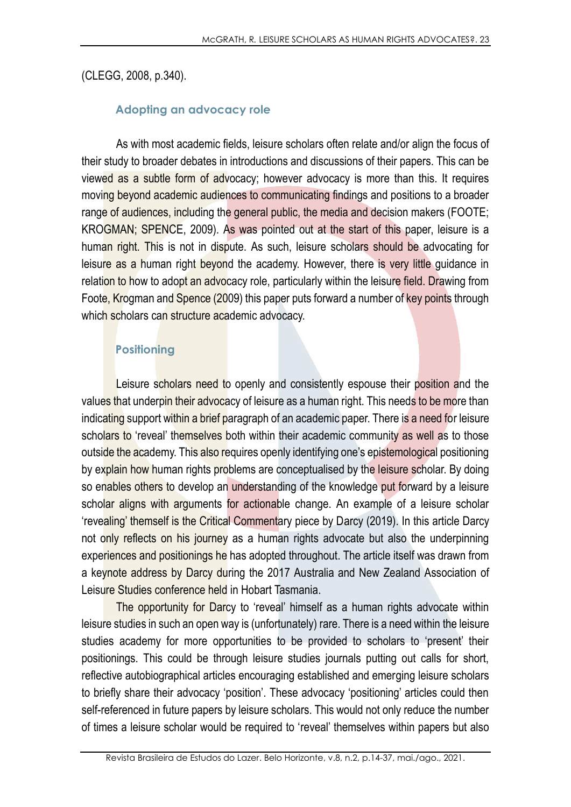(CLEGG, 2008, p.340).

## **Adopting an advocacy role**

As with most academic fields, leisure scholars often relate and/or align the focus of their study to broader debates in introductions and discussions of their papers. This can be viewed as a subtle form of advocacy; however advocacy is more than this. It requires moving beyond academic audiences to communicating findings and positions to a broader range of audiences, including the general public, the media and decision makers (FOOTE; KROGMAN; SPENCE, 2009). As was pointed out at the start of this paper, leisure is a human right. This is not in dispute. As such, leisure scholars should be advocating for leisure as a human right beyond the academy. However, there is very little quidance in relation to how to adopt an advocacy role, particularly within the leisure field. Drawing from Foote, Krogman and Spence (2009) this paper puts forward a number of key points through which scholars can structure academic advocacy.

# **Positioning**

Leisure scholars need to openly and consistently espouse their position and the values that underpin their advocacy of leisure as a human right. This needs to be more than indicating support within a brief paragraph of an academic paper. There is a need for leisure scholars to 'reveal' themselves both within their academic community as well as to those outside the academy. This also requires openly identifying one's epistemological positioning by explain how human rights problems are conceptualised by the leisure scholar. By doing so enables others to develop an understanding of the knowledge put forward by a leisure scholar aligns with arguments for actionable change. An example of a leisure scholar 'revealing' themself is the Critical Commentary piece by Darcy (2019). In this article Darcy not only reflects on his journey as a human rights advocate but also the underpinning experiences and positionings he has adopted throughout. The article itself was drawn from a keynote address by Darcy during the 2017 Australia and New Zealand Association of Leisure Studies conference held in Hobart Tasmania.

The opportunity for Darcy to 'reveal' himself as a human rights advocate within leisure studies in such an open way is (unfortunately) rare. There is a need within the leisure studies academy for more opportunities to be provided to scholars to 'present' their positionings. This could be through leisure studies journals putting out calls for short, reflective autobiographical articles encouraging established and emerging leisure scholars to briefly share their advocacy 'position'. These advocacy 'positioning' articles could then self-referenced in future papers by leisure scholars. This would not only reduce the number of times a leisure scholar would be required to 'reveal' themselves within papers but also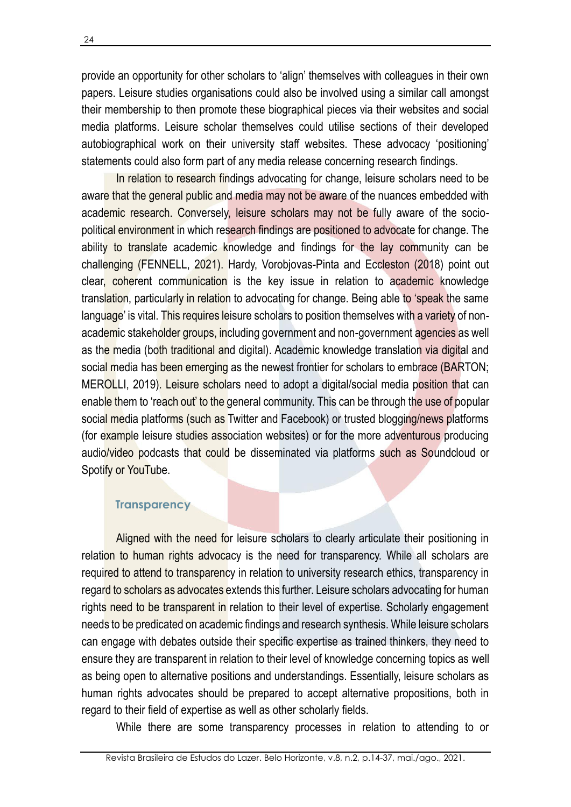provide an opportunity for other scholars to 'align' themselves with colleagues in their own papers. Leisure studies organisations could also be involved using a similar call amongst their membership to then promote these biographical pieces via their websites and social media platforms. Leisure scholar themselves could utilise sections of their developed autobiographical work on their university staff websites. These advocacy 'positioning' statements could also form part of any media release concerning research findings.

In relation to research findings advocating for change, leisure scholars need to be aware that the general public and media may not be aware of the nuances embedded with academic research. Conversely, leisure scholars may not be fully aware of the sociopolitical environment in which research findings are positioned to advocate for change. The ability to translate academic knowledge and findings for the lay community can be challenging (FENNELL, 2021). Hardy, Vorobjovas-Pinta and Eccleston (2018) point out clear, coherent communication is the key issue in relation to academic knowledge translation, particularly in relation to advocating for change. Being able to 'speak the same language' is vital. This requires leisure scholars to position themselves with a variety of nonacademic stakeholder groups, including government and non-government agencies as well as the media (both traditional and digital). Academic knowledge translation via digital and social media has been emerging as the newest frontier for scholars to embrace (BARTON; MEROLLI, 2019). Leisure scholars need to adopt a digital/social media position that can enable them to 'reach out' to the general community. This can be through the use of popular social media platforms (such as Twitter and Facebook) or trusted blogging/news platforms (for example leisure studies association websites) or for the more adventurous producing audio/video podcasts that could be disseminated via platforms such as Soundcloud or Spotify or YouTube.

#### **Transparency**

Aligned with the need for leisure scholars to clearly articulate their positioning in relation to human rights advocacy is the need for transparency. While all scholars are required to attend to transparency in relation to university research ethics, transparency in regard to scholars as advocates extends this further. Leisure scholars advocating for human rights need to be transparent in relation to their level of expertise. Scholarly engagement needs to be predicated on academic findings and research synthesis. While leisure scholars can engage with debates outside their specific expertise as trained thinkers, they need to ensure they are transparent in relation to their level of knowledge concerning topics as well as being open to alternative positions and understandings. Essentially, leisure scholars as human rights advocates should be prepared to accept alternative propositions, both in regard to their field of expertise as well as other scholarly fields.

While there are some transparency processes in relation to attending to or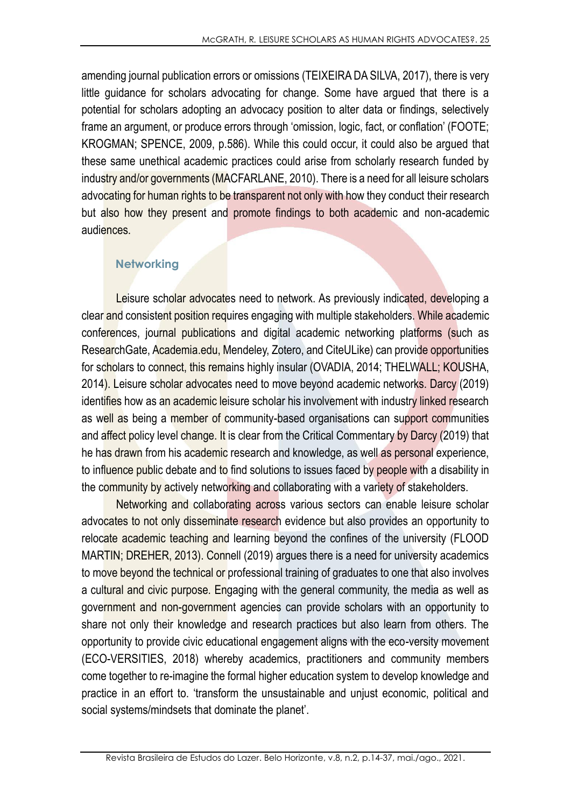amending journal publication errors or omissions (TEIXEIRA DA SILVA, 2017), there is very little guidance for scholars advocating for change. Some have argued that there is a potential for scholars adopting an advocacy position to alter data or findings, selectively frame an argument, or produce errors through 'omission, logic, fact, or conflation' (FOOTE; KROGMAN; SPENCE, 2009, p.586). While this could occur, it could also be argued that these same unethical academic practices could arise from scholarly research funded by industry and/or governments (MACFARLANE, 2010). There is a need for all leisure scholars advocating for human rights to be transparent not only with how they conduct their research but also how they present and promote findings to both academic and non-academic audiences.

### **Networking**

Leisure scholar advocates need to network. As previously indicated, developing a clear and consistent position requires engaging with multiple stakeholders. While academic conferences, journal publications and digital academic networking platforms (such as ResearchGate, Academia.edu, Mendeley, Zotero, and CiteULike) can provide opportunities for scholars to connect, this remains highly insular (OVADIA, 2014; THELWALL; KOUSHA, 2014). Leisure scholar advocates need to move beyond academic networks. Darcy (2019) identifies how as an academic leisure scholar his involvement with industry linked research as well as being a member of community-based organisations can support communities and affect policy level change. It is clear from the Critical Commentary by Darcy (2019) that he has drawn from his academic research and knowledge, as well as personal experience, to influence public debate and to find solutions to issues faced by people with a disability in the community by actively networking and collaborating with a variety of stakeholders.

Networking and collaborating across various sectors can enable leisure scholar advocates to not only disseminate research evidence but also provides an opportunity to relocate academic teaching and learning beyond the confines of the university (FLOOD MARTIN; DREHER, 2013). Connell (2019) argues there is a need for university academics to move beyond the technical or professional training of graduates to one that also involves a cultural and civic purpose. Engaging with the general community, the media as well as government and non-government agencies can provide scholars with an opportunity to share not only their knowledge and research practices but also learn from others. The opportunity to provide civic educational engagement aligns with the eco-versity movement (ECO-VERSITIES, 2018) whereby academics, practitioners and community members come together to re-imagine the formal higher education system to develop knowledge and practice in an effort to. 'transform the unsustainable and unjust economic, political and social systems/mindsets that dominate the planet'.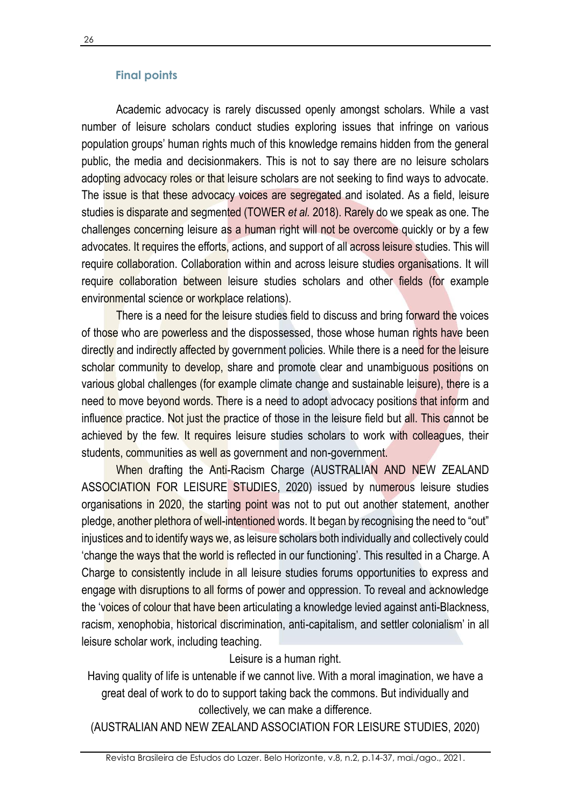#### **Final points**

Academic advocacy is rarely discussed openly amongst scholars. While a vast number of leisure scholars conduct studies exploring issues that infringe on various population groups' human rights much of this knowledge remains hidden from the general public, the media and decisionmakers. This is not to say there are no leisure scholars adopting advocacy roles or that leisure scholars are not seeking to find ways to advocate. The issue is that these advocacy voices are segregated and isolated. As a field, leisure studies is disparate and segmented (TOWER *et al.* 2018). Rarely do we speak as one. The challenges concerning leisure as a human right will not be overcome quickly or by a few advocates. It requires the efforts, actions, and support of all across leisure studies. This will require collaboration. Collaboration within and across leisure studies organisations. It will require collaboration between leisure studies scholars and other fields (for example environmental science or workplace relations).

There is a need for the leisure studies field to discuss and bring forward the voices of those who are powerless and the dispossessed, those whose human rights have been directly and indirectly affected by government policies. While there is a need for the leisure scholar community to develop, share and promote clear and unambiguous positions on various global challenges (for example climate change and sustainable leisure), there is a need to move beyond words. There is a need to adopt advocacy positions that inform and influence practice. Not just the practice of those in the leisure field but all. This cannot be achieved by the few. It requires leisure studies scholars to work with colleagues, their students, communities as well as government and non-government.

When drafting the Anti-Racism Charge (AUSTRALIAN AND NEW ZEALAND ASSOCIATION FOR LEISURE STUDIES, 2020) issued by numerous leisure studies organisations in 2020, the starting point was not to put out another statement, another pledge, another plethora of well-intentioned words. It began by recognising the need to "out" injustices and to identify ways we, as leisure scholars both individually and collectively could 'change the ways that the world is reflected in our functioning'. This resulted in a Charge. A Charge to consistently include in all leisure studies forums opportunities to express and engage with disruptions to all forms of power and oppression. To reveal and acknowledge the 'voices of colour that have been articulating a knowledge levied against anti-Blackness, racism, xenophobia, historical discrimination, anti-capitalism, and settler colonialism' in all leisure scholar work, including teaching.

Leisure is a human right.

Having quality of life is untenable if we cannot live. With a moral imagination, we have a great deal of work to do to support taking back the commons. But individually and collectively, we can make a difference.

(AUSTRALIAN AND NEW ZEALAND ASSOCIATION FOR LEISURE STUDIES, 2020)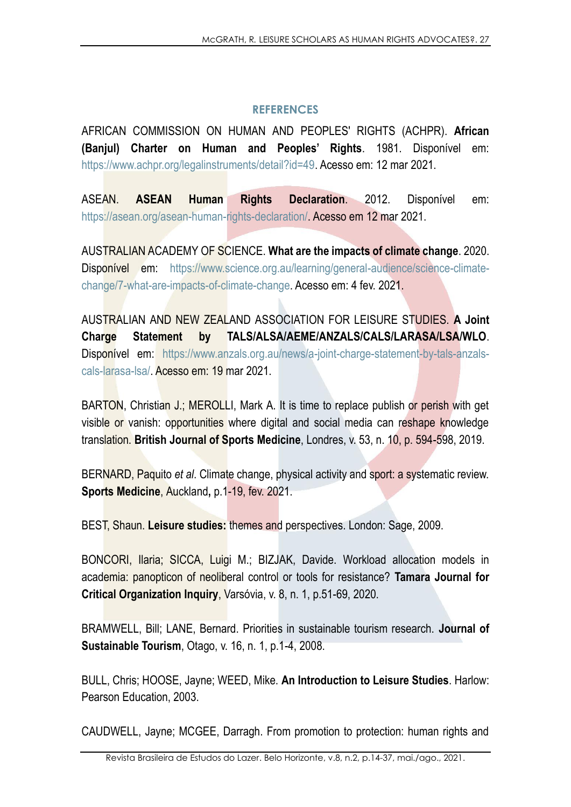### **REFERENCES**

AFRICAN COMMISSION ON HUMAN AND PEOPLES' RIGHTS (ACHPR). **African (Banjul) Charter on Human and Peoples' Rights**. 1981. Disponível em: https://www.achpr.org/legalinstruments/detail?id=49. Acesso em: 12 mar 2021.

ASEAN. **ASEAN Human Rights Declaration**. 2012. Disponível em: https://asean.org/asean-human-rights-declaration/. Acesso em 12 mar 2021.

AUSTRALIAN ACADEMY OF SCIENCE. **What are the impacts of climate change**. 2020. Disponível em: https://www.science.org.au/learning/general-audience/science-climatechange/7-what-are-impacts-of-climate-change. Acesso em: 4 fev. 2021.

AUSTRALIAN AND NEW ZEALAND ASSOCIATION FOR LEISURE STUDIES. **A Joint Charge Statement by TALS/ALSA/AEME/ANZALS/CALS/LARASA/LSA/WLO**. Disponível em: https://www.anzals.org.au/news/a-joint-charge-statement-by-tals-anzalscals-larasa-lsa/. Acesso em: 19 mar 2021.

BARTON, Christian J.; MEROLLI, Mark A. It is time to replace publish or perish with get visible or vanish: opportunities where digital and social media can reshape knowledge translation. **British Journal of Sports Medicine**, Londres, v. 53, n. 10, p. 594-598, 2019.

BERNARD, Paquito *et al*. Climate change, physical activity and sport: a systematic review. **Sports Medicine**, Auckland**,** p.1-19, fev. 2021.

BEST, Shaun. **Leisure studies:** themes and perspectives. London: Sage, 2009.

BONCORI, Ilaria; SICCA, Luigi M.; BIZJAK, Davide. Workload allocation models in academia: panopticon of neoliberal control or tools for resistance? **Tamara Journal for Critical Organization Inquiry**, Varsóvia, v. 8, n. 1, p.51-69, 2020.

BRAMWELL, Bill; LANE, Bernard. Priorities in sustainable tourism research. **Journal of Sustainable Tourism**, Otago, v. 16, n. 1, p.1-4, 2008.

BULL, Chris; HOOSE, Jayne; WEED, Mike. **An Introduction to Leisure Studies**. Harlow: Pearson Education, 2003.

CAUDWELL, Jayne; MCGEE, Darragh. From promotion to protection: human rights and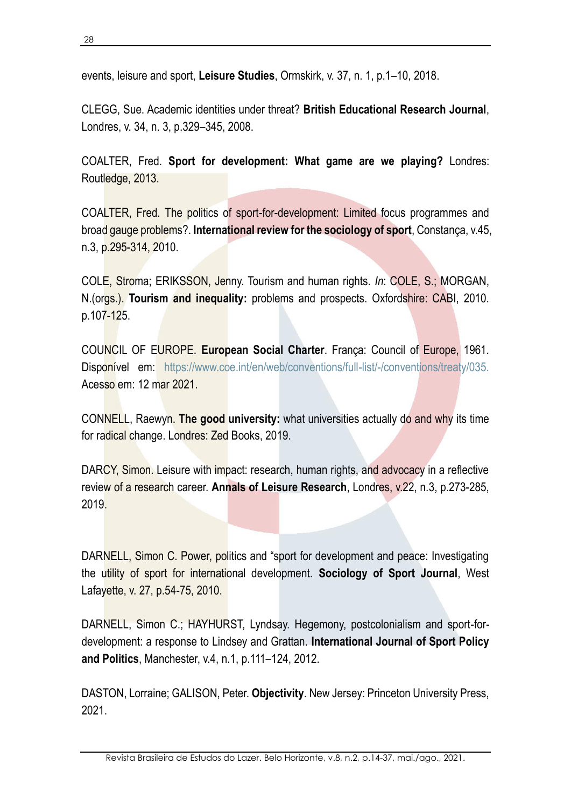events, leisure and sport, **Leisure Studies**, Ormskirk, v. 37, n. 1, p.1–10, 2018.

CLEGG, Sue. Academic identities under threat? **British Educational Research Journal**, Londres, v. 34, n. 3, p.329–345, 2008.

COALTER, Fred. **Sport for development: What game are we playing?** Londres: Routledge, 2013.

COALTER, Fred. The politics of sport-for-development: Limited focus programmes and broad gauge problems?. **International review for the sociology of sport**, Constança, v.45, n.3, p.295-314, 2010.

COLE, Stroma; ERIKSSON, Jenny. Tourism and human rights. *In*: COLE, S.; MORGAN, N.(orgs.). **Tourism and inequality:** problems and prospects. Oxfordshire: CABI, 2010. p.107-125.

COUNCIL OF EUROPE. **European Social Charter**. França: Council of Europe, 1961. Disponível em: https://www.coe.int/en/web/conventions/full-list/-/conventions/treaty/035. Acesso em: 12 mar 2021.

CONNELL, Raewyn. **The good university:** what universities actually do and why its time for radical change. Londres: Zed Books, 2019.

DARCY, Simon. Leisure with impact: research, human rights, and advocacy in a reflective review of a research career. **Annals of Leisure Research**, Londres, v.22, n.3, p.273-285, 2019.

DARNELL, Simon C. Power, politics and "sport for development and peace: Investigating the utility of sport for international development. **Sociology of Sport Journal**, West Lafayette, v. 27, p.54-75, 2010.

DARNELL, Simon C.; HAYHURST, Lyndsay. Hegemony, postcolonialism and sport-fordevelopment: a response to Lindsey and Grattan. **International Journal of Sport Policy and Politics**, Manchester, v.4, n.1, p.111–124, 2012.

DASTON, Lorraine; GALISON, Peter. **Objectivity**. New Jersey: Princeton University Press, 2021.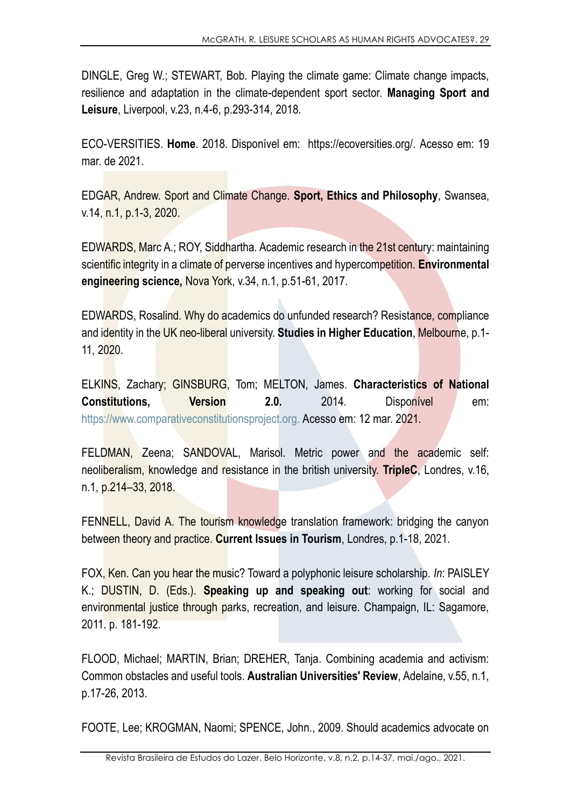DINGLE, Greg W.; STEWART, Bob. Playing the climate game: Climate change impacts, resilience and adaptation in the climate-dependent sport sector. **Managing Sport and Leisure**, Liverpool, v.23, n.4-6, p.293-314, 2018.

ECO-VERSITIES. **Home**. 2018. Disponível em: https://ecoversities.org/. Acesso em: 19 mar. de 2021.

EDGAR, Andrew. Sport and Climate Change. **Sport, Ethics and Philosophy**, Swansea, v.14, n.1, p.1-3, 2020.

EDWARDS, Marc A.; ROY, Siddhartha. Academic research in the 21st century: maintaining scientific integrity in a climate of perverse incentives and hypercompetition. **Environmental engineering science,** Nova York, v.34, n.1, p.51-61, 2017.

EDWARDS, Rosalind. Why do academics do unfunded research? Resistance, compliance and identity in the UK neo-liberal university. **Studies in Higher Education**, Melbourne, p.1- 11, 2020.

ELKINS, Zachary; GINSBURG, Tom; MELTON, James. **Characteristics of National Constitutions, Version 2.0.** 2014. Disponível em: [https://www.comparativeconstitutionsproject.org.](https://www.comparativeconstitutionsproject.org/) Acesso em: 12 mar. 2021.

FELDMAN, Zeena; SANDOVAL, Marisol. Metric power and the academic self: neoliberalism, knowledge and resistance in the british university. **TripleC**, Londres, v.16, n.1, p.214–33, 2018.

FENNELL, David A. The tourism knowledge translation framework: bridging the canyon between theory and practice. **Current Issues in Tourism**, Londres, p.1-18, 2021.

FOX, Ken. Can you hear the music? Toward a polyphonic leisure scholarship. *In*: PAISLEY K.; DUSTIN, D. (Eds.). **Speaking up and speaking out**: working for social and environmental justice through parks, recreation, and leisure. Champaign, IL: Sagamore, 2011. p. 181-192.

FLOOD, Michael; MARTIN, Brian; DREHER, Tanja. Combining academia and activism: Common obstacles and useful tools. **Australian Universities' Review**, Adelaine, v.55, n.1, p.17-26, 2013.

FOOTE, Lee; KROGMAN, Naomi; SPENCE, John., 2009. Should academics advocate on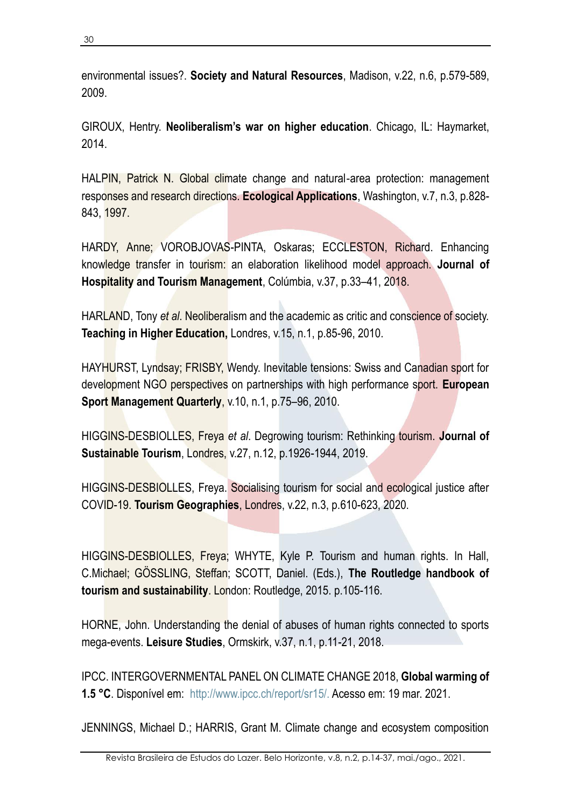environmental issues?. **Society and Natural Resources**, Madison, v.22, n.6, p.579-589, 2009.

GIROUX, Hentry. **Neoliberalism's war on higher education**. Chicago, IL: Haymarket, 2014.

HALPIN, Patrick N. Global climate change and natural-area protection: management responses and research directions. **Ecological Applications**, Washington, v.7, n.3, p.828- 843, 1997.

HARDY, Anne; VOROBJOVAS-PINTA, Oskaras; ECCLESTON, Richard. Enhancing knowledge transfer in tourism: an elaboration likelihood model approach. **Journal of Hospitality and Tourism Management**, Colúmbia, v.37, p.33–41, 2018.

HARLAND, Tony *et al*. Neoliberalism and the academic as critic and conscience of society. **Teaching in Higher Education,** Londres, v.15, n.1, p.85-96, 2010.

HAYHURST, Lyndsay; FRISBY, Wendy. Inevitable tensions: Swiss and Canadian sport for development NGO perspectives on partnerships with high performance sport. **European Sport Management Quarterly**, v.10, n.1, p.75–96, 2010.

HIGGINS-DESBIOLLES, Freya *et al*. Degrowing tourism: Rethinking tourism. **Journal of Sustainable Tourism**, Londres, v.27, n.12, p.1926-1944, 2019.

HIGGINS-DESBIOLLES, Freya. Socialising tourism for social and ecological justice after COVID-19. **Tourism Geographies**, Londres, v.22, n.3, p.610-623, 2020.

HIGGINS-DESBIOLLES, Freya; WHYTE, Kyle P. Tourism and human rights. In Hall, C.Michael; GÖSSLING, Steffan; SCOTT, Daniel. (Eds.), **The Routledge handbook of tourism and sustainability**. London: Routledge, 2015. p.105-116.

HORNE, John. Understanding the denial of abuses of human rights connected to sports mega-events. **Leisure Studies**, Ormskirk, v.37, n.1, p.11-21, 2018.

IPCC. INTERGOVERNMENTAL PANEL ON CLIMATE CHANGE 2018, **Global warming of 1.5 °C**. Disponível em: http://www.ipcc.ch/report/sr15/. Acesso em: 19 mar. 2021.

JENNINGS, Michael D.; HARRIS, Grant M. Climate change and ecosystem composition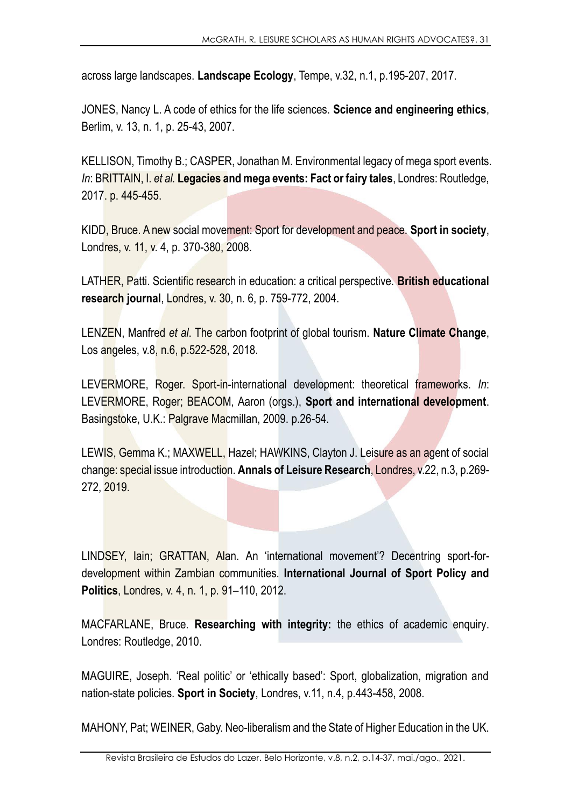across large landscapes. **Landscape Ecology**, Tempe, v.32, n.1, p.195-207, 2017.

JONES, Nancy L. A code of ethics for the life sciences. **Science and engineering ethics**, Berlim, v. 13, n. 1, p. 25-43, 2007.

KELLISON, Timothy B.; CASPER, Jonathan M. Environmental legacy of mega sport events. *In*: BRITTAIN, I. *et al.* **Legacies and mega events: Fact or fairy tales**, Londres: Routledge, 2017. p. 445-455.

KIDD, Bruce. A new social movement: Sport for development and peace. **Sport in society**, Londres, v. 11, v. 4, p. 370-380, 2008.

LATHER, Patti. Scientific research in education: a critical perspective. **British educational research journal**, Londres, v. 30, n. 6, p. 759-772, 2004.

LENZEN, Manfred *et al*. The carbon footprint of global tourism. **Nature Climate Change**, Los angeles, v.8, n.6, p.522-528, 2018.

LEVERMORE, Roger. Sport-in-international development: theoretical frameworks. *In*: LEVERMORE, Roger; BEACOM, Aaron (orgs.), **Sport and international development**. Basingstoke, U.K.: Palgrave Macmillan, 2009. p.26-54.

LEWIS, Gemma K.; MAXWELL, Hazel; HAWKINS, Clayton J. Leisure as an agent of social change: special issue introduction. **Annals of Leisure Research**, Londres, v.22, n.3, p.269- 272, 2019.

LINDSEY, Iain; GRATTAN, Alan. An 'international movement'? Decentring sport-fordevelopment within Zambian communities. **International Journal of Sport Policy and Politics**, Londres, v. 4, n. 1, p. 91–110, 2012.

MACFARLANE, Bruce. **Researching with integrity:** the ethics of academic enquiry. Londres: Routledge, 2010.

MAGUIRE, Joseph. 'Real politic' or 'ethically based': Sport, globalization, migration and nation-state policies. **Sport in Society**, Londres, v.11, n.4, p.443-458, 2008.

MAHONY, Pat; WEINER, Gaby. Neo-liberalism and the State of Higher Education in the UK.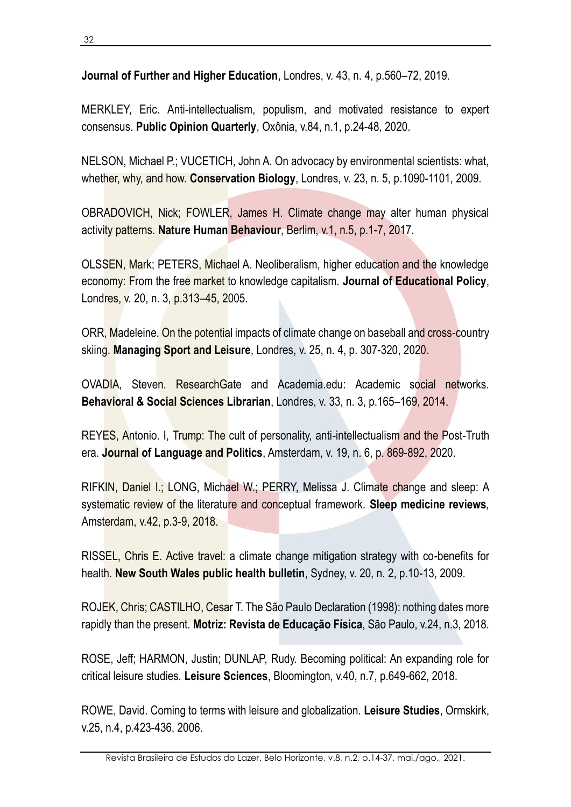**Journal of Further and Higher Education**, Londres, v. 43, n. 4, p.560–72, 2019.

MERKLEY, Eric. Anti-intellectualism, populism, and motivated resistance to expert consensus. **Public Opinion Quarterly**, Oxônia, v.84, n.1, p.24-48, 2020.

NELSON, Michael P.; VUCETICH, John A. On advocacy by environmental scientists: what, whether, why, and how. **Conservation Biology**, Londres, v. 23, n. 5, p.1090-1101, 2009.

OBRADOVICH, Nick; FOWLER, James H. Climate change may alter human physical activity patterns. **Nature Human Behaviour**, Berlim, v.1, n.5, p.1-7, 2017.

OLSSEN, Mark; PETERS, Michael A. Neoliberalism, higher education and the knowledge economy: From the free market to knowledge capitalism. **Journal of Educational Policy**, Londres, v. 20, n. 3, p.313–45, 2005.

ORR, Madeleine. On the potential impacts of climate change on baseball and cross-country skiing. **Managing Sport and Leisure**, Londres, v. 25, n. 4, p. 307-320, 2020.

OVADIA, Steven. ResearchGate and Academia.edu: Academic social networks. **Behavioral & Social Sciences Librarian**, Londres, v. 33, n. 3, p.165–169, 2014.

REYES, Antonio. I, Trump: The cult of personality, anti-intellectualism and the Post-Truth era. **Journal of Language and Politics**, Amsterdam, v. 19, n. 6, p. 869-892, 2020.

RIFKIN, Daniel I.; LONG, Michael W.; PERRY, Melissa J. Climate change and sleep: A systematic review of the literature and conceptual framework. **Sleep medicine reviews***,* Amsterdam, v.42, p.3-9, 2018.

RISSEL, Chris E. Active travel: a climate change mitigation strategy with co-benefits for health. **New South Wales public health bulletin**, Sydney, v. 20, n. 2, p.10-13, 2009.

ROJEK, Chris; CASTILHO, Cesar T. The São Paulo Declaration (1998): nothing dates more rapidly than the present. **Motriz: Revista de Educação Física**, São Paulo, v.24, n.3, 2018.

ROSE, Jeff; HARMON, Justin; DUNLAP, Rudy. Becoming political: An expanding role for critical leisure studies. **Leisure Sciences**, Bloomington, v.40, n.7, p.649-662, 2018.

ROWE, David. Coming to terms with leisure and globalization. **Leisure Studies**, Ormskirk, v.25, n.4, p.423-436, 2006.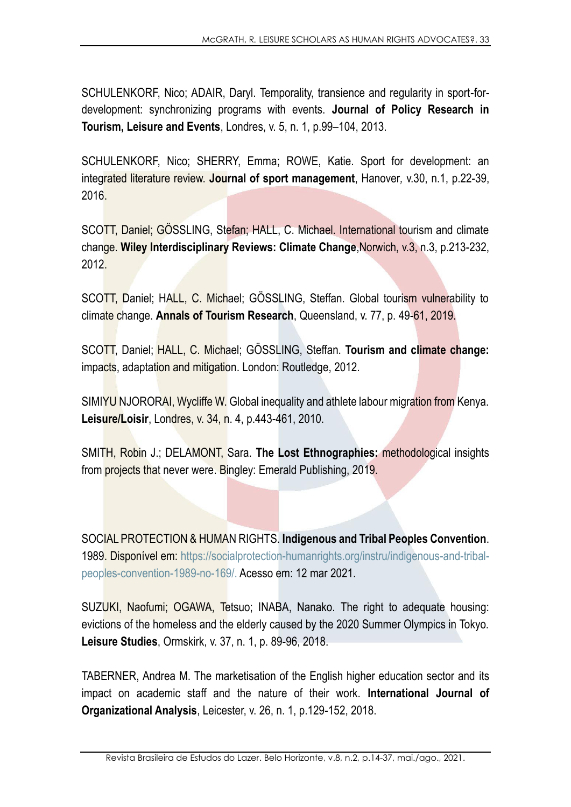SCHULENKORF, Nico; ADAIR, Daryl. Temporality, transience and regularity in sport-fordevelopment: synchronizing programs with events. **Journal of Policy Research in Tourism, Leisure and Events**, Londres, v. 5, n. 1, p.99–104, 2013.

SCHULENKORF, Nico; SHERRY, Emma; ROWE, Katie. Sport for development: an integrated literature review. **Journal of sport management**, Hanover*,* v.30, n.1, p.22-39, 2016.

SCOTT, Daniel; GÖSSLING, Stefan; HALL, C. Michael. International tourism and climate change. **Wiley Interdisciplinary Reviews: Climate Change**,Norwich, v.3, n.3, p.213-232, 2012.

SCOTT, Daniel; HALL, C. Michael; GÖSSLING, Steffan. Global tourism vulnerability to climate change. **Annals of Tourism Research**, Queensland, v. 77, p. 49-61, 2019.

SCOTT, Daniel; HALL, C. Michael; GÖSSLING, Steffan. **Tourism and climate change:**  impacts, adaptation and mitigation. London: Routledge, 2012.

SIMIYU NJORORAI, Wycliffe W. Global inequality and athlete labour migration from Kenya. **Leisure/Loisir**, Londres, v. 34, n. 4, p.443-461, 2010.

SMITH, Robin J.; DELAMONT, Sara. **The Lost Ethnographies:** methodological insights from projects that never were. Bingley: Emerald Publishing, 2019.

SOCIAL PROTECTION & HUMAN RIGHTS. **Indigenous and Tribal Peoples Convention**. 1989. Disponível em: https://socialprotection-humanrights.org/instru/indigenous-and-tribalpeoples-convention-1989-no-169/. Acesso em: 12 mar 2021.

SUZUKI, Naofumi; OGAWA, Tetsuo; INABA, Nanako. The right to adequate housing: evictions of the homeless and the elderly caused by the 2020 Summer Olympics in Tokyo. **Leisure Studies**, Ormskirk, v. 37, n. 1, p. 89-96, 2018.

TABERNER, Andrea M. The marketisation of the English higher education sector and its impact on academic staff and the nature of their work. **International Journal of Organizational Analysis**, Leicester, v. 26, n. 1, p.129-152, 2018.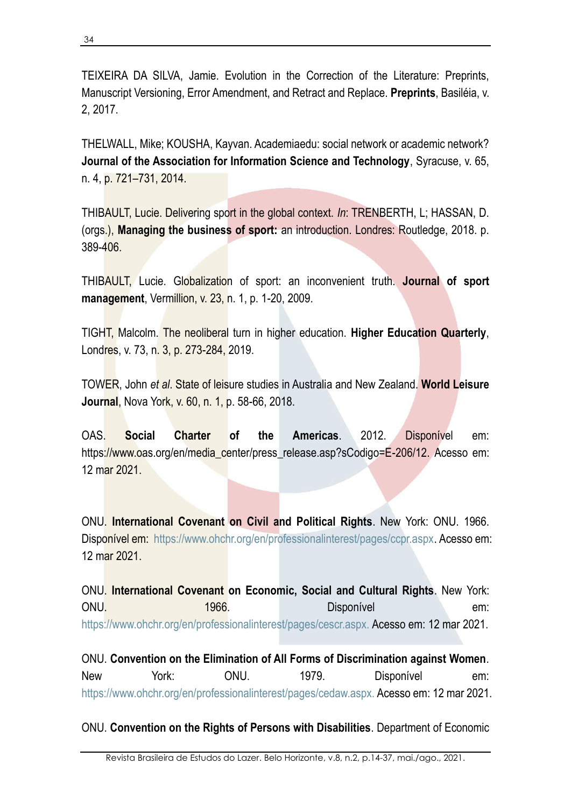TEIXEIRA DA SILVA, Jamie. Evolution in the Correction of the Literature: Preprints, Manuscript Versioning, Error Amendment, and Retract and Replace. **Preprints**, Basiléia, v. 2, 2017.

THELWALL, Mike; KOUSHA, Kayvan. Academiaedu: social network or academic network? **Journal of the Association for Information Science and Technology**, Syracuse, v. 65, n. 4, p. 721–731, 2014.

THIBAULT, Lucie. Delivering sport in the global context. *In*: TRENBERTH, L; HASSAN, D. (orgs.), **Managing the business of sport:** an introduction. Londres: Routledge, 2018. p. 389-406.

THIBAULT, Lucie. Globalization of sport: an inconvenient truth. **Journal of sport management**, Vermillion, v. 23, n. 1, p. 1-20, 2009.

TIGHT, Malcolm. The neoliberal turn in higher education. **Higher Education Quarterly**, Londres, v. 73, n. 3, p. 273-284, 2019.

TOWER, John *et al*. State of leisure studies in Australia and New Zealand. **World Leisure Journal**, Nova York, v. 60, n. 1, p. 58-66, 2018.

OAS. **Social Charter of the Americas**. 2012. Disponível em: https://www.oas.org/en/media\_center/press\_release.asp?sCodigo=E-206/12. Acesso em: 12 mar 2021.

ONU. **International Covenant on Civil and Political Rights**. New York: ONU. 1966. Disponível em: https://www.ohchr.org/en/professionalinterest/pages/ccpr.aspx. Acesso em: 12 mar 2021.

ONU. **International Covenant on Economic, Social and Cultural Rights**. New York: ONU. 1966. CONU. **1966.** CONU. **1966.** CONU. **Disponível** em: https://www.ohchr.org/en/professionalinterest/pages/cescr.aspx. Acesso em: 12 mar 2021.

ONU. **Convention on the Elimination of All Forms of Discrimination against Women**. New York: ONU. 1979. Disponível em: https://www.ohchr.org/en/professionalinterest/pages/cedaw.aspx. Acesso em: 12 mar 2021.

ONU. **Convention on the Rights of Persons with Disabilities**. Department of Economic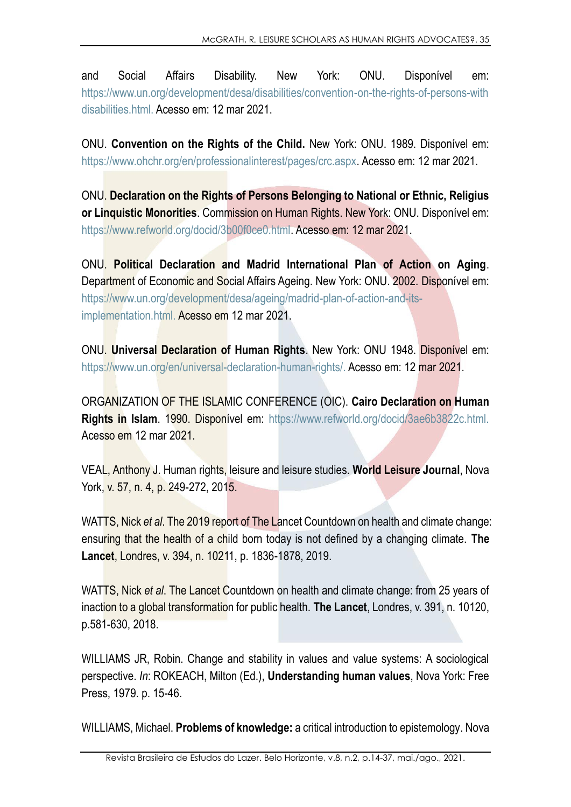and Social Affairs Disability. New York: ONU. Disponível em: <https://www.un.org/development/desa/disabilities/convention-on-the-rights-of-persons-with> disabilities.html. Acesso em: 12 mar 2021.

ONU. **Convention on the Rights of the Child.** New York: ONU. 1989. Disponível em: https://www.ohchr.org/en/professionalinterest/pages/crc.aspx. Acesso em: 12 mar 2021.

ONU. **Declaration on the Rights of Persons Belonging to National or Ethnic, Religius or Linquistic Monorities**. Commission on Human Rights. New York: ONU. Disponível em: https://www.refworld.org/docid/3b00f0ce0.html. Acesso em: 12 mar 2021.

ONU. **Political Declaration and Madrid International Plan of Action on Aging**. Department of Economic and Social Affairs Ageing. New York: ONU. 2002. Disponível em: https://www.un.org/development/desa/ageing/madrid-plan-of-action-and-itsimplementation.html. Acesso em 12 mar 2021.

ONU. **Universal Declaration of Human Rights**. New York: ONU 1948. Disponível em: https://www.un.org/en/universal-declaration-human-rights/. Acesso em: 12 mar 2021.

ORGANIZATION OF THE ISLAMIC CONFERENCE (OIC). **Cairo Declaration on Human Rights in Islam**. 1990. Disponível em: https://www.refworld.org/docid/3ae6b3822c.html. Acesso em 12 mar 2021.

VEAL, Anthony J. Human rights, leisure and leisure studies. **World Leisure Journal**, Nova York, v. 57, n. 4, p. 249-272, 2015.

WATTS, Nick *et al*. The 2019 report of The Lancet Countdown on health and climate change: ensuring that the health of a child born today is not defined by a changing climate. **The Lancet**, Londres, v. 394, n. 10211, p. 1836-1878, 2019.

WATTS, Nick *et al*. The Lancet Countdown on health and climate change: from 25 years of inaction to a global transformation for public health. **The Lancet**, Londres, v. 391, n. 10120, p.581-630, 2018.

WILLIAMS JR, Robin. Change and stability in values and value systems: A sociological perspective. *In*: ROKEACH, Milton (Ed.), **Understanding human values**, Nova York: Free Press, 1979. p. 15-46.

WILLIAMS, Michael. **Problems of knowledge:** a critical introduction to epistemology. Nova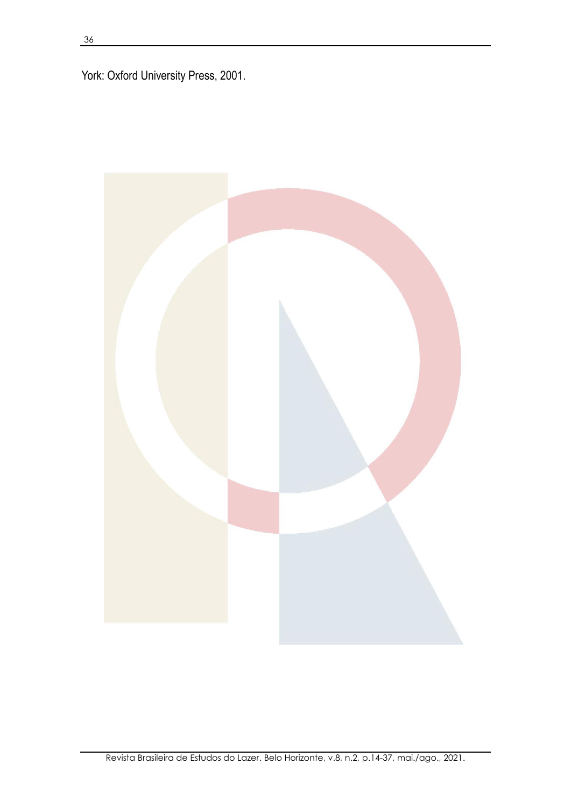York: Oxford University Press, 2001.